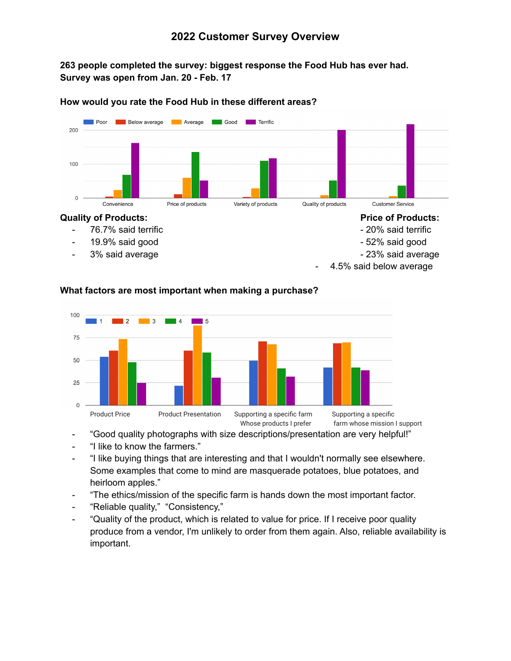## **263 people completed the survey: biggest response the Food Hub has ever had. Survey was open from Jan. 20 - Feb. 17**



#### **How would you rate the Food Hub in these different areas?**



## **What factors are most important when making a purchase?**

"Good quality photographs with size descriptions/presentation are very helpful!"

- "I like to know the farmers."
- "I like buying things that are interesting and that I wouldn't normally see elsewhere. Some examples that come to mind are masquerade potatoes, blue potatoes, and heirloom apples."
- "The ethics/mission of the specific farm is hands down the most important factor.
- "Reliable quality," "Consistency,"
- "Quality of the product, which is related to value for price. If I receive poor quality produce from a vendor, I'm unlikely to order from them again. Also, reliable availability is important.